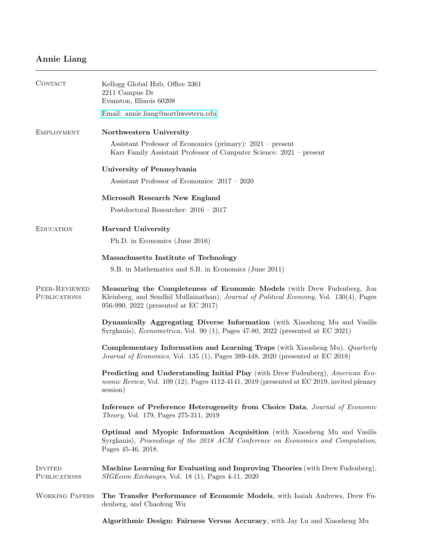## Annie Liang

| CONTACT                       | Kellogg Global Hub, Office 3361<br>2211 Campus Dr<br>Evanston, Illinois 60208                                                                                                                             |
|-------------------------------|-----------------------------------------------------------------------------------------------------------------------------------------------------------------------------------------------------------|
|                               | Email: annie.liang@northwestern.edu                                                                                                                                                                       |
| EMPLOYMENT                    | Northwestern University                                                                                                                                                                                   |
|                               | Assistant Professor of Economics (primary): 2021 – present<br>Karr Family Assistant Professor of Computer Science: 2021 – present                                                                         |
|                               | University of Pennsylvania                                                                                                                                                                                |
|                               | Assistant Professor of Economics: 2017 - 2020                                                                                                                                                             |
|                               | Microsoft Research New England                                                                                                                                                                            |
|                               | Postdoctoral Researcher: $2016 - 2017$                                                                                                                                                                    |
| EDUCATION                     | <b>Harvard University</b>                                                                                                                                                                                 |
|                               | Ph.D. in Economics (June 2016)                                                                                                                                                                            |
|                               | Massachusetts Institute of Technology                                                                                                                                                                     |
|                               | S.B. in Mathematics and S.B. in Economics (June 2011)                                                                                                                                                     |
| PEER-REVIEWED<br>PUBLICATIONS | Measuring the Completeness of Economic Models (with Drew Fudenberg, Jon<br>Kleinberg, and Sendhil Mullainathan), Journal of Political Economy, Vol. 130(4), Pages<br>956-990, 2022 (presented at EC 2017) |
|                               | Dynamically Aggregating Diverse Information (with Xiaosheng Mu and Vasilis<br>Syrgkanis), <i>Econometrica</i> , Vol. 90 (1), Pages 47-80, 2022 (presented at EC 2021)                                     |
|                               | Complementary Information and Learning Traps (with Xiaosheng Mu), Quarterly<br>Journal of Economics, Vol. 135 (1), Pages 389-448, 2020 (presented at EC 2018)                                             |
|                               | <b>Predicting and Understanding Initial Play</b> (with Drew Fudenberg), American Eco-<br>nomic Review, Vol. 109 (12), Pages 4112-4141, 2019 (presented at EC 2019, invited plenary<br>session)            |
|                               | Inference of Preference Heterogeneity from Choice Data, Journal of Economic<br><i>Theory</i> , Vol. 179, Pages 275-311, 2019                                                                              |
|                               | Optimal and Myopic Information Acquisition (with Xiaosheng Mu and Vasilis<br>Syrgkanis), Proceedings of the 2018 ACM Conference on Economics and Computation,<br>Pages 45-46, 2018.                       |
| INVITED<br>PUBLICATIONS       | Machine Learning for Evaluating and Improving Theories (with Drew Fudenberg),<br>SIGEcom Exchanges, Vol. 18 (1), Pages 4-11, 2020                                                                         |
| <b>WORKING PAPERS</b>         | The Transfer Performance of Economic Models, with Isaiah Andrews, Drew Fu-<br>denberg, and Chaofeng Wu                                                                                                    |
|                               | Algorithmic Design: Fairness Versus Accuracy, with Jay Lu and Xiaosheng Mu                                                                                                                                |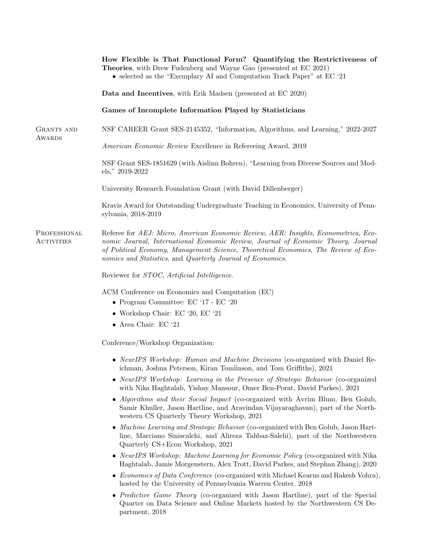|                            | How Flexible is That Functional Form? Quantifying the Restrictiveness of<br>Theories, with Drew Fudenberg and Wayne Gao (presented at EC 2021)<br>• selected as the "Exemplary AI and Computation Track Paper" at EC '21                                                                                                           |
|----------------------------|------------------------------------------------------------------------------------------------------------------------------------------------------------------------------------------------------------------------------------------------------------------------------------------------------------------------------------|
|                            | Data and Incentives, with Erik Madsen (presented at EC 2020)                                                                                                                                                                                                                                                                       |
|                            | Games of Incomplete Information Played by Statisticians                                                                                                                                                                                                                                                                            |
| GRANTS AND<br>AWARDS       | NSF CAREER Grant SES-2145352, "Information, Algorithms, and Learning," 2022-2027                                                                                                                                                                                                                                                   |
|                            | American Economic Review Excellence in Refereeing Award, 2019                                                                                                                                                                                                                                                                      |
|                            | NSF Grant SES-1851629 (with Aislinn Bohren), "Learning from Diverse Sources and Mod-<br>$\text{els}$ ," 2019-2022                                                                                                                                                                                                                  |
|                            | University Research Foundation Grant (with David Dillenberger)                                                                                                                                                                                                                                                                     |
|                            | Kravis Award for Outstanding Undergraduate Teaching in Economics, University of Penn-<br>sylvania, 2018-2019                                                                                                                                                                                                                       |
| PROFESSIONAL<br>ACTIVITIES | Referee for AEJ: Micro, American Economic Review, AER: Insights, Econometrica, Eco-<br>nomic Journal, International Economic Review, Journal of Economic Theory, Journal<br>of Political Economy, Management Science, Theoretical Economics, The Review of Eco-<br>nomics and Statistics, and Quarterly Journal of Economics.      |
|                            | Reviewer for STOC, Artificial Intelligence.                                                                                                                                                                                                                                                                                        |
|                            | ACM Conference on Economics and Computation (EC)<br>• Program Committee: $EC$ '17 - $EC$ '20<br>• Workshop Chair: EC '20, EC '21<br>$\bullet\,$ Area Chair: EC '21                                                                                                                                                                 |
|                            | Conference/Workshop Organization:                                                                                                                                                                                                                                                                                                  |
|                            | • NeurIPS Workshop: Human and Machine Decisions (co-organized with Daniel Re-<br>ichman, Joshua Peterson, Kiran Tomlinson, and Tom Griffiths), 2021                                                                                                                                                                                |
|                            | • NeurIPS Workshop: Learning in the Presence of Strategic Behavior (co-organized<br>with Nika Haghtalab, Yishay Mansour, Omer Ben-Porat, David Parkes), 2021<br>• Algorithms and their Social Impact (co-organized with Avrim Blum, Ben Golub,<br>Samir Khuller, Jason Hartline, and Aravindan Vijayaraghavan), part of the North- |
|                            | western CS Quarterly Theory Workshop, 2021                                                                                                                                                                                                                                                                                         |
|                            | • Machine Learning and Strategic Behavior (co-organized with Ben Golub, Jason Hart-<br>line, Marciano Siniscalchi, and Alireza Tahbaz-Salehi), part of the Northwestern<br>Quarterly CS+Econ Workshop, 2021                                                                                                                        |
|                            | • NeurIPS Workshop: Machine Learning for Economic Policy (co-organized with Nika<br>Haghtalab, Jamie Morgenstern, Alex Trott, David Parkes, and Stephan Zhang), 2020                                                                                                                                                               |
|                            | • Economics of Data Conference (co-organized with Michael Kearns and Rakesh Vohra),<br>hosted by the University of Pennsylvania Warren Center, 2018                                                                                                                                                                                |
|                            | • Predictive Game Theory (co-organized with Jason Hartline), part of the Special<br>Quarter on Data Science and Online Markets hosted by the Northwestern CS De-<br>partment, 2018                                                                                                                                                 |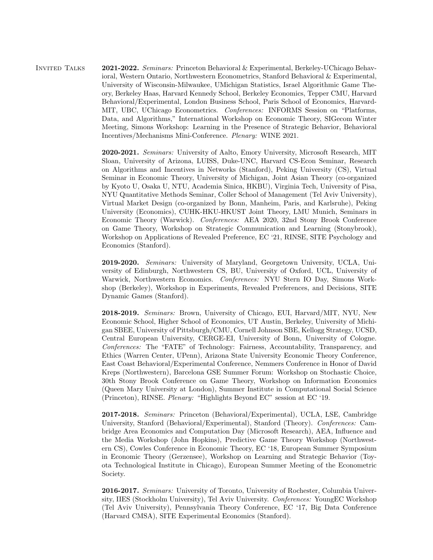Invited Talks 2021-2022. Seminars: Princeton Behavioral & Experimental, Berkeley-UChicago Behavioral, Western Ontario, Northwestern Econometrics, Stanford Behavioral & Experimental, University of Wisconsin-Milwaukee, UMichigan Statistics, Israel Algorithmic Game Theory, Berkeley Haas, Harvard Kennedy School, Berkeley Economics, Tepper CMU, Harvard Behavioral/Experimental, London Business School, Paris School of Economics, Harvard-MIT, UBC, UChicago Econometrics. Conferences: INFORMS Session on "Platforms, Data, and Algorithms," International Workshop on Economic Theory, SIGecom Winter Meeting, Simons Workshop: Learning in the Presence of Strategic Behavior, Behavioral Incentives/Mechanisms Mini-Conference. Plenary: WINE 2021.

> 2020-2021. Seminars: University of Aalto, Emory University, Microsoft Research, MIT Sloan, University of Arizona, LUISS, Duke-UNC, Harvard CS-Econ Seminar, Research on Algorithms and Incentives in Networks (Stanford), Peking University (CS), Virtual Seminar in Economic Theory, University of Michigan, Joint Asian Theory (co-organized by Kyoto U, Osaka U, NTU, Academia Sinica, HKBU), Virginia Tech, University of Pisa, NYU Quantitative Methods Seminar, Coller School of Management (Tel Aviv University), Virtual Market Design (co-organized by Bonn, Manheim, Paris, and Karlsruhe), Peking University (Economics), CUHK-HKU-HKUST Joint Theory, LMU Munich, Seminars in Economic Theory (Warwick). Conferences: AEA 2020, 32nd Stony Brook Conference on Game Theory, Workshop on Strategic Communication and Learning (Stonybrook), Workshop on Applications of Revealed Preference, EC '21, RINSE, SITE Psychology and Economics (Stanford).

> 2019-2020. Seminars: University of Maryland, Georgetown University, UCLA, University of Edinburgh, Northwestern CS, BU, University of Oxford, UCL, University of Warwick, Northwestern Economics. Conferences: NYU Stern IO Day, Simons Workshop (Berkeley), Workshop in Experiments, Revealed Preferences, and Decisions, SITE Dynamic Games (Stanford).

> 2018-2019. Seminars: Brown, University of Chicago, EUI, Harvard/MIT, NYU, New Economic School, Higher School of Economics, UT Austin, Berkeley, University of Michigan SBEE, University of Pittsburgh/CMU, Cornell Johnson SBE, Kellogg Strategy, UCSD, Central European University, CERGE-EI, University of Bonn, University of Cologne. Conferences: The "FATE" of Technology: Fairness, Accountability, Transparency, and Ethics (Warren Center, UPenn), Arizona State University Economic Theory Conference, East Coast Behavioral/Experimental Conference, Nemmers Conference in Honor of David Kreps (Northwestern), Barcelona GSE Summer Forum: Workshop on Stochastic Choice, 30th Stony Brook Conference on Game Theory, Workshop on Information Economics (Queen Mary University at London), Summer Institute in Computational Social Science (Princeton), RINSE. Plenary: "Highlights Beyond EC" session at EC '19.

> 2017-2018. Seminars: Princeton (Behavioral/Experimental), UCLA, LSE, Cambridge University, Stanford (Behavioral/Experimental), Stanford (Theory). Conferences: Cambridge Area Economics and Computation Day (Microsoft Research), AEA, Influence and the Media Workshop (John Hopkins), Predictive Game Theory Workshop (Northwestern CS), Cowles Conference in Economic Theory, EC '18, European Summer Symposium in Economic Theory (Gerzensee), Workshop on Learning and Strategic Behavior (Toyota Technological Institute in Chicago), European Summer Meeting of the Econometric Society.

> 2016-2017. Seminars: University of Toronto, University of Rochester, Columbia University, IIES (Stockholm University), Tel Aviv University. Conferences: YoungEC Workshop (Tel Aviv University), Pennsylvania Theory Conference, EC '17, Big Data Conference (Harvard CMSA), SITE Experimental Economics (Stanford).